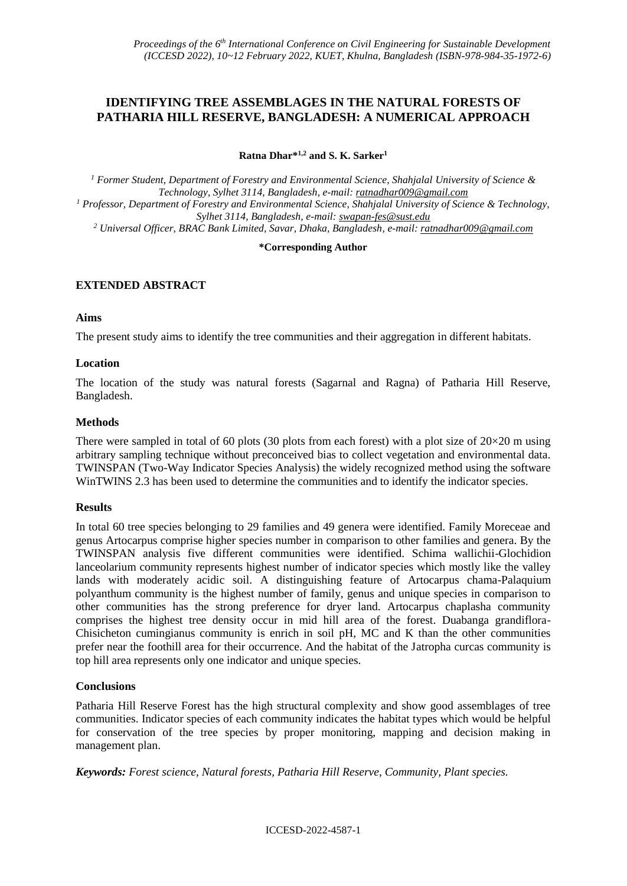# **IDENTIFYING TREE ASSEMBLAGES IN THE NATURAL FORESTS OF PATHARIA HILL RESERVE, BANGLADESH: A NUMERICAL APPROACH**

**Ratna Dhar\* 1,2 and S. K. Sarker<sup>1</sup>**

*<sup>1</sup> Former Student, Department of Forestry and Environmental Science, Shahjalal University of Science & Technology, Sylhet 3114, Bangladesh, e-mail: [ratnadhar009@gmail.com](mailto:ratnadhar009@gmail.com) <sup>1</sup> Professor, Department of Forestry and Environmental Science, Shahjalal University of Science & Technology, Sylhet 3114, Bangladesh, e-mail: [swapan-fes@sust.edu](mailto:swapan-fes@sust.edu) <sup>2</sup> Universal Officer, BRAC Bank Limited, Savar, Dhaka, Bangladesh, e-mail[: ratnadhar009@gmail.com](mailto:ratnadhar009@gmail.com)*

#### **\*Corresponding Author**

# **EXTENDED ABSTRACT**

#### **Aims**

The present study aims to identify the tree communities and their aggregation in different habitats.

#### **Location**

The location of the study was natural forests (Sagarnal and Ragna) of Patharia Hill Reserve, Bangladesh.

#### **Methods**

There were sampled in total of 60 plots (30 plots from each forest) with a plot size of  $20\times20$  m using arbitrary sampling technique without preconceived bias to collect vegetation and environmental data. TWINSPAN (Two-Way Indicator Species Analysis) the widely recognized method using the software WinTWINS 2.3 has been used to determine the communities and to identify the indicator species.

## **Results**

In total 60 tree species belonging to 29 families and 49 genera were identified. Family Moreceae and genus Artocarpus comprise higher species number in comparison to other families and genera. By the TWINSPAN analysis five different communities were identified. Schima wallichii-Glochidion lanceolarium community represents highest number of indicator species which mostly like the valley lands with moderately acidic soil. A distinguishing feature of Artocarpus chama-Palaquium polyanthum community is the highest number of family, genus and unique species in comparison to other communities has the strong preference for dryer land. Artocarpus chaplasha community comprises the highest tree density occur in mid hill area of the forest. Duabanga grandiflora-Chisicheton cumingianus community is enrich in soil pH, MC and K than the other communities prefer near the foothill area for their occurrence. And the habitat of the Jatropha curcas community is top hill area represents only one indicator and unique species.

## **Conclusions**

Patharia Hill Reserve Forest has the high structural complexity and show good assemblages of tree communities. Indicator species of each community indicates the habitat types which would be helpful for conservation of the tree species by proper monitoring, mapping and decision making in management plan.

*Keywords: Forest science, Natural forests, Patharia Hill Reserve, Community, Plant species.*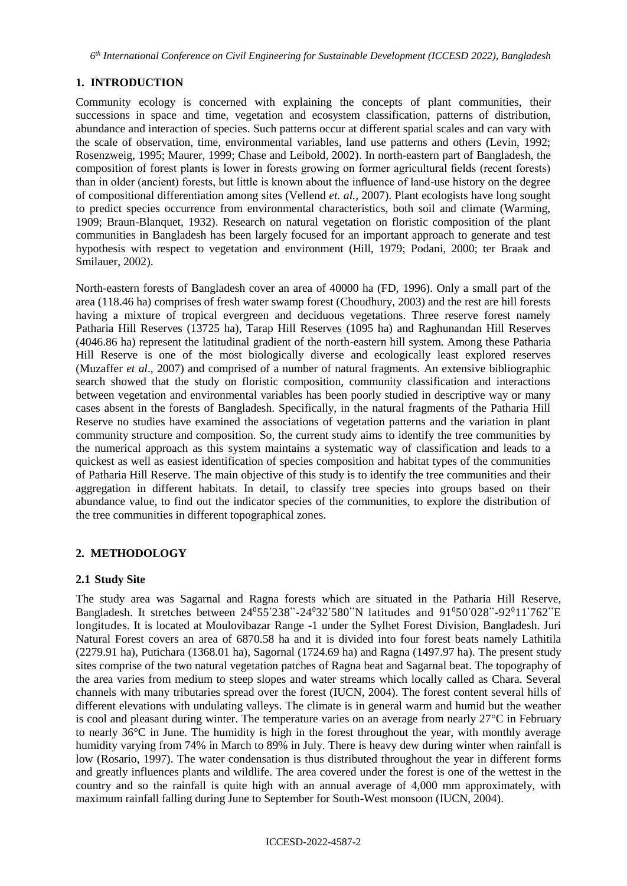# **1. INTRODUCTION**

Community ecology is concerned with explaining the concepts of plant communities, their successions in space and time, vegetation and ecosystem classification, patterns of distribution, abundance and interaction of species. Such patterns occur at different spatial scales and can vary with the scale of observation, time, environmental variables, land use patterns and others (Levin, 1992; Rosenzweig, 1995; Maurer, 1999; Chase and Leibold, 2002). In north-eastern part of Bangladesh, the composition of forest plants is lower in forests growing on former agricultural fields (recent forests) than in older (ancient) forests, but little is known about the influence of land-use history on the degree of compositional differentiation among sites (Vellend *et. al.,* 2007). Plant ecologists have long sought to predict species occurrence from environmental characteristics, both soil and climate (Warming, 1909; Braun-Blanquet, 1932). Research on natural vegetation on floristic composition of the plant communities in Bangladesh has been largely focused for an important approach to generate and test hypothesis with respect to vegetation and environment (Hill, 1979; Podani, 2000; ter Braak and Smilauer, 2002).

North-eastern forests of Bangladesh cover an area of 40000 ha (FD, 1996). Only a small part of the area (118.46 ha) comprises of fresh water swamp forest (Choudhury, 2003) and the rest are hill forests having a mixture of tropical evergreen and deciduous vegetations. Three reserve forest namely Patharia Hill Reserves (13725 ha), Tarap Hill Reserves (1095 ha) and Raghunandan Hill Reserves (4046.86 ha) represent the latitudinal gradient of the north-eastern hill system. Among these Patharia Hill Reserve is one of the most biologically diverse and ecologically least explored reserves (Muzaffer *et al*., 2007) and comprised of a number of natural fragments. An extensive bibliographic search showed that the study on floristic composition, community classification and interactions between vegetation and environmental variables has been poorly studied in descriptive way or many cases absent in the forests of Bangladesh. Specifically, in the natural fragments of the Patharia Hill Reserve no studies have examined the associations of vegetation patterns and the variation in plant community structure and composition. So, the current study aims to identify the tree communities by the numerical approach as this system maintains a systematic way of classification and leads to a quickest as well as easiest identification of species composition and habitat types of the communities of Patharia Hill Reserve. The main objective of this study is to identify the tree communities and their aggregation in different habitats. In detail, to classify tree species into groups based on their abundance value, to find out the indicator species of the communities, to explore the distribution of the tree communities in different topographical zones.

# **2. METHODOLOGY**

## **2.1 Study Site**

The study area was Sagarnal and Ragna forests which are situated in the Patharia Hill Reserve, Bangladesh. It stretches between 24<sup>0</sup>55**'**238**''** -24<sup>0</sup>32**'**580**''**N latitudes and 91<sup>0</sup>50**'**028**''** -92<sup>0</sup>11**'**762**''**E longitudes. It is located at Moulovibazar Range -1 under the Sylhet Forest Division, Bangladesh. Juri Natural Forest covers an area of 6870.58 ha and it is divided into four forest beats namely Lathitila (2279.91 ha), Putichara (1368.01 ha), Sagornal (1724.69 ha) and Ragna (1497.97 ha). The present study sites comprise of the two natural vegetation patches of Ragna beat and Sagarnal beat. The topography of the area varies from medium to steep slopes and water streams which locally called as Chara. Several channels with many tributaries spread over the forest (IUCN, 2004). The forest content several hills of different elevations with undulating valleys. The climate is in general warm and humid but the weather is cool and pleasant during winter. The temperature varies on an average from nearly 27°C in February to nearly 36°C in June. The humidity is high in the forest throughout the year, with monthly average humidity varying from 74% in March to 89% in July. There is heavy dew during winter when rainfall is low (Rosario, 1997). The water condensation is thus distributed throughout the year in different forms and greatly influences plants and wildlife. The area covered under the forest is one of the wettest in the country and so the rainfall is quite high with an annual average of 4,000 mm approximately, with maximum rainfall falling during June to September for South-West monsoon (IUCN, 2004).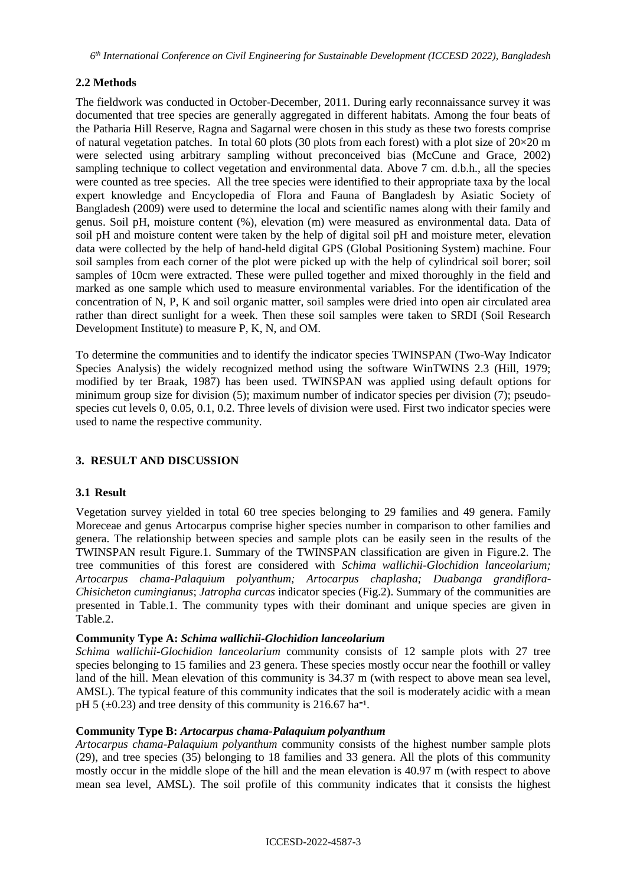# **2.2 Methods**

The fieldwork was conducted in October-December, 2011. During early reconnaissance survey it was documented that tree species are generally aggregated in different habitats. Among the four beats of the Patharia Hill Reserve, Ragna and Sagarnal were chosen in this study as these two forests comprise of natural vegetation patches. In total 60 plots (30 plots from each forest) with a plot size of  $20\times20$  m were selected using arbitrary sampling without preconceived bias (McCune and Grace, 2002) sampling technique to collect vegetation and environmental data. Above 7 cm. d.b.h., all the species were counted as tree species. All the tree species were identified to their appropriate taxa by the local expert knowledge and Encyclopedia of Flora and Fauna of Bangladesh by Asiatic Society of Bangladesh (2009) were used to determine the local and scientific names along with their family and genus. Soil pH, moisture content (%), elevation (m) were measured as environmental data. Data of soil pH and moisture content were taken by the help of digital soil pH and moisture meter, elevation data were collected by the help of hand-held digital GPS (Global Positioning System) machine. Four soil samples from each corner of the plot were picked up with the help of cylindrical soil borer; soil samples of 10cm were extracted. These were pulled together and mixed thoroughly in the field and marked as one sample which used to measure environmental variables. For the identification of the concentration of N, P, K and soil organic matter, soil samples were dried into open air circulated area rather than direct sunlight for a week. Then these soil samples were taken to SRDI (Soil Research Development Institute) to measure P, K, N, and OM.

To determine the communities and to identify the indicator species TWINSPAN (Two-Way Indicator Species Analysis) the widely recognized method using the software WinTWINS 2.3 (Hill, 1979; modified by ter Braak, 1987) has been used. TWINSPAN was applied using default options for minimum group size for division (5); maximum number of indicator species per division (7); pseudospecies cut levels 0, 0.05, 0.1, 0.2. Three levels of division were used. First two indicator species were used to name the respective community.

## **3. RESULT AND DISCUSSION**

## **3.1 Result**

Vegetation survey yielded in total 60 tree species belonging to 29 families and 49 genera. Family Moreceae and genus Artocarpus comprise higher species number in comparison to other families and genera. The relationship between species and sample plots can be easily seen in the results of the TWINSPAN result Figure.1. Summary of the TWINSPAN classification are given in Figure.2. The tree communities of this forest are considered with *Schima wallichii-Glochidion lanceolarium; Artocarpus chama-Palaquium polyanthum; Artocarpus chaplasha; Duabanga grandiflora-Chisicheton cumingianus*; *Jatropha curcas* indicator species (Fig.2). Summary of the communities are presented in Table.1. The community types with their dominant and unique species are given in Table.2.

#### **Community Type A:** *Schima wallichii-Glochidion lanceolarium*

*Schima wallichii-Glochidion lanceolarium* community consists of 12 sample plots with 27 tree species belonging to 15 families and 23 genera. These species mostly occur near the foothill or valley land of the hill. Mean elevation of this community is 34.37 m (with respect to above mean sea level, AMSL). The typical feature of this community indicates that the soil is moderately acidic with a mean pH 5 ( $\pm$ 0.23) and tree density of this community is 216.67 ha<sup>-1</sup>.

## **Community Type B:** *Artocarpus chama-Palaquium polyanthum*

*Artocarpus chama-Palaquium polyanthum* community consists of the highest number sample plots (29), and tree species (35) belonging to 18 families and 33 genera. All the plots of this community mostly occur in the middle slope of the hill and the mean elevation is 40.97 m (with respect to above mean sea level, AMSL). The soil profile of this community indicates that it consists the highest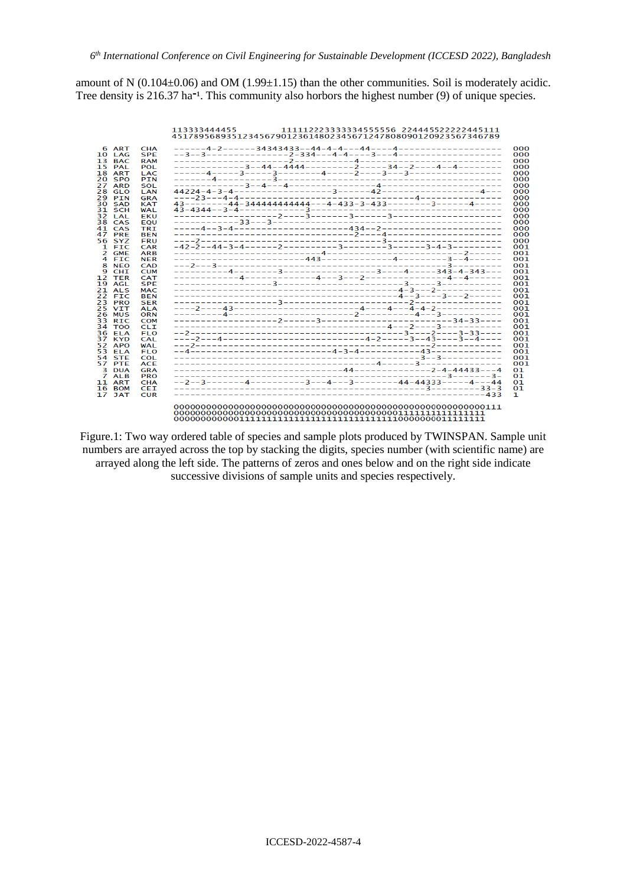amount of N  $(0.104\pm0.06)$  and OM  $(1.99\pm1.15)$  than the other communities. Soil is moderately acidic. Tree density is  $216.37$  ha<sup>-1</sup>. This community also horbors the highest number (9) of unique species.



Figure.1: Two way ordered table of species and sample plots produced by TWINSPAN. Sample unit numbers are arrayed across the top by stacking the digits, species number (with scientific name) are arrayed along the left side. The patterns of zeros and ones below and on the right side indicate successive divisions of sample units and species respectively.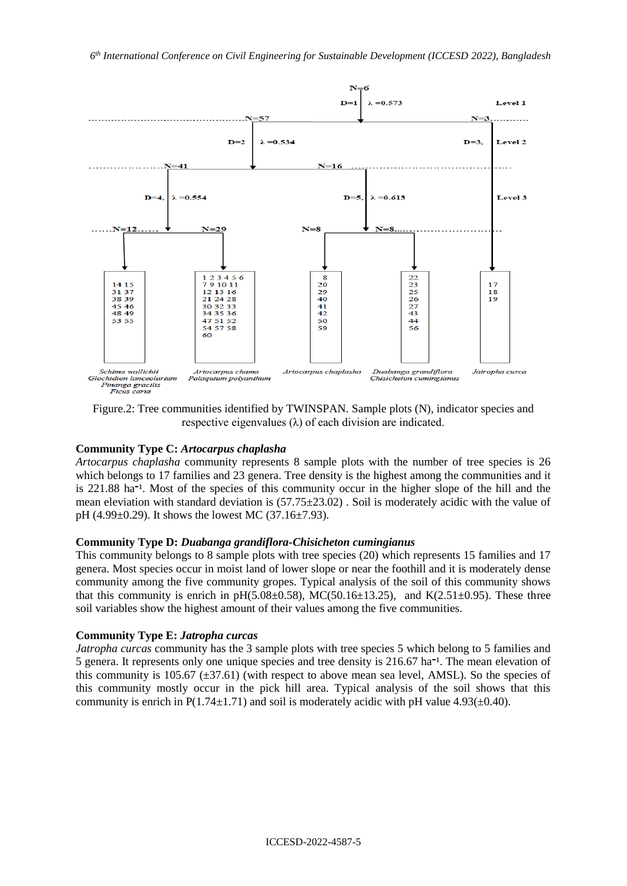

Figure.2: Tree communities identified by TWINSPAN. Sample plots (N), indicator species and respective eigenvalues (λ) of each division are indicated.

## **Community Type C:** *Artocarpus chaplasha*

*Artocarpus chaplasha* community represents 8 sample plots with the number of tree species is 26 which belongs to 17 families and 23 genera. Tree density is the highest among the communities and it is 221.88 ha<sup>-1</sup>. Most of the species of this community occur in the higher slope of the hill and the mean eleviation with standard deviation is (57.75±23.02) . Soil is moderately acidic with the value of pH (4.99±0.29). It shows the lowest MC (37.16±7.93).

#### **Community Type D:** *Duabanga grandiflora-Chisicheton cumingianus*

This community belongs to 8 sample plots with tree species (20) which represents 15 families and 17 genera. Most species occur in moist land of lower slope or near the foothill and it is moderately dense community among the five community gropes. Typical analysis of the soil of this community shows that this community is enrich in  $pH(5.08\pm0.58)$ , MC(50.16 $\pm$ 13.25), and K(2.51 $\pm$ 0.95). These three soil variables show the highest amount of their values among the five communities.

#### **Community Type E:** *Jatropha curcas*

*Jatropha curcas* community has the 3 sample plots with tree species 5 which belong to 5 families and 5 genera. It represents only one unique species and tree density is  $216.67$  ha<sup>-1</sup>. The mean elevation of this community is 105.67 ( $\pm$ 37.61) (with respect to above mean sea level, AMSL). So the species of this community mostly occur in the pick hill area. Typical analysis of the soil shows that this community is enrich in  $P(1.74 \pm 1.71)$  and soil is moderately acidic with pH value 4.93( $\pm$ 0.40).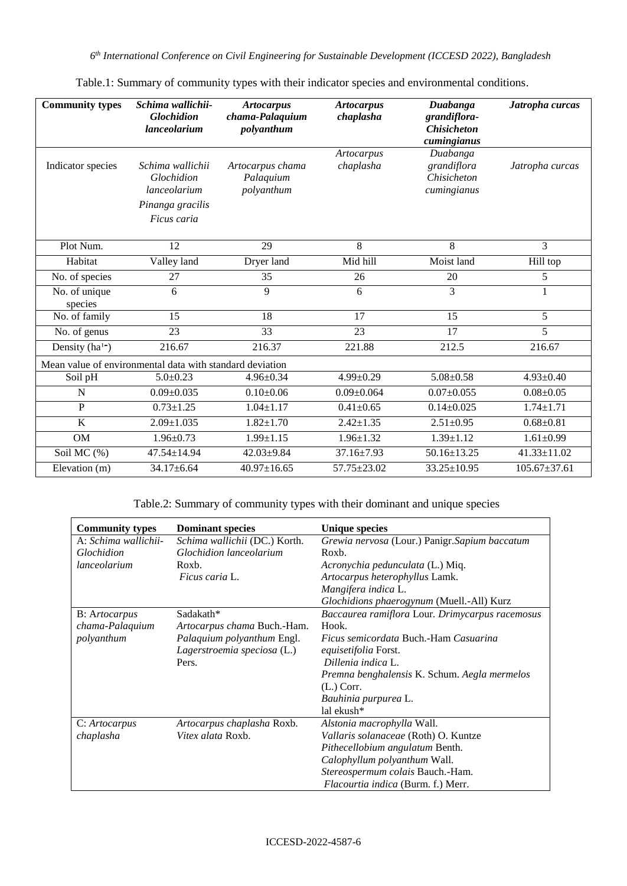*6 th International Conference on Civil Engineering for Sustainable Development (ICCESD 2022), Bangladesh*

| <b>Community types</b>                                   | Schima wallichii-<br><b>Glochidion</b><br>lanceolarium                            | <b>Artocarpus</b><br>chama-Palaquium<br>polyanthum | <b>Artocarpus</b><br>chaplasha | Duabanga<br>grandiflora-<br><b>Chisicheton</b><br>cumingianus | Jatropha curcas    |  |
|----------------------------------------------------------|-----------------------------------------------------------------------------------|----------------------------------------------------|--------------------------------|---------------------------------------------------------------|--------------------|--|
| Indicator species                                        | Schima wallichii<br>Glochidion<br>lanceolarium<br>Pinanga gracilis<br>Ficus caria | Artocarpus chama<br>Palaquium<br>polyanthum        | <b>Artocarpus</b><br>chaplasha | Duabanga<br>grandiflora<br>Chisicheton<br>cumingianus         | Jatropha curcas    |  |
| Plot Num.                                                | 12                                                                                | 29                                                 | 8                              | 8                                                             | $\overline{3}$     |  |
| Habitat                                                  | Valley land                                                                       | Dryer land                                         | Mid hill                       | Moist land                                                    | Hill top           |  |
| No. of species                                           | 27                                                                                | 35                                                 | 26                             | 20                                                            | 5                  |  |
| No. of unique<br>species                                 | 6                                                                                 | 9                                                  | 6                              | 3                                                             | 1                  |  |
| No. of family                                            | 15                                                                                | 18                                                 | 17                             | 15                                                            | 5                  |  |
| No. of genus                                             | 23                                                                                | 33                                                 | 23                             | 17                                                            | $\overline{5}$     |  |
| Density ( $ha^{1-}$ )                                    | 216.67                                                                            | 216.37                                             | 221.88                         | 212.5                                                         | 216.67             |  |
| Mean value of environmental data with standard deviation |                                                                                   |                                                    |                                |                                                               |                    |  |
| Soil pH                                                  | $5.0 \pm 0.23$                                                                    | $4.96 \pm 0.34$                                    | $4.99 \pm 0.29$                | $5.08 \pm 0.58$                                               | $4.93 \pm 0.40$    |  |
| $\mathbf N$                                              | $0.09 \pm 0.035$                                                                  | $0.10 \pm 0.06$                                    | $0.09 \pm 0.064$               | $0.07 \pm 0.055$                                              | $0.08 \pm 0.05$    |  |
| $\overline{P}$                                           | $0.73 \pm 1.25$                                                                   | $1.04 \pm 1.17$                                    | $0.41 \pm 0.65$                | $0.14 \pm 0.025$                                              | $1.74 \pm 1.71$    |  |
| K                                                        | $2.09 \pm 1.035$                                                                  | $1.82{\pm}1.70$                                    | $2.42 \pm 1.35$                | $2.51 \pm 0.95$                                               | $0.68 \pm 0.81$    |  |
| <b>OM</b>                                                | $1.96 \pm 0.73$                                                                   | $1.99 \pm 1.15$                                    | $1.96 \pm 1.32$                | $1.39 \pm 1.12$                                               | $1.61 \pm 0.99$    |  |
| Soil MC (%)                                              | 47.54±14.94                                                                       | 42.03±9.84                                         | 37.16±7.93                     | $50.16 \pm 13.25$                                             | 41.33±11.02        |  |
| Elevation (m)                                            | $34.17 \pm 6.64$                                                                  | $40.97 \pm 16.65$                                  | 57.75±23.02                    | $33.25 \pm 10.95$                                             | $105.67 \pm 37.61$ |  |

Table.1: Summary of community types with their indicator species and environmental conditions.

Table.2: Summary of community types with their dominant and unique species

| <b>Community types</b> | <b>Dominant species</b>       | <b>Unique species</b>                           |
|------------------------|-------------------------------|-------------------------------------------------|
| A: Schima wallichii-   | Schima wallichii (DC.) Korth. | Grewia nervosa (Lour.) Panigr. Sapium baccatum  |
| Glochidion             | Glochidion lanceolarium       | Roxb.                                           |
| lanceolarium           | Roxb.                         | Acronychia pedunculata (L.) Miq.                |
|                        | Ficus caria L.                | Artocarpus heterophyllus Lamk.                  |
|                        |                               | Mangifera indica L.                             |
|                        |                               | Glochidions phaerogynum (Muell.-All) Kurz       |
| <b>B</b> : Artocarpus  | Sadakath*                     | Baccaurea ramiflora Lour. Drimycarpus racemosus |
| chama-Palaquium        | Artocarpus chama Buch.-Ham.   | Hook.                                           |
| polyanthum             | Palaquium polyanthum Engl.    | Ficus semicordata Buch.-Ham Casuarina           |
|                        | Lagerstroemia speciosa (L.)   | equisetifolia Forst.                            |
|                        | Pers.                         | Dillenia indica L.                              |
|                        |                               | Premna benghalensis K. Schum. Aegla mermelos    |
|                        |                               | $(L.)$ Corr.                                    |
|                        |                               | Bauhinia purpurea L.                            |
|                        |                               | lal ekush*                                      |
| C: Artocarpus          | Artocarpus chaplasha Roxb.    | Alstonia macrophylla Wall.                      |
| chaplasha              | Vitex alata Roxb.             | Vallaris solanaceae (Roth) O. Kuntze            |
|                        |                               | Pithecellobium angulatum Benth.                 |
|                        |                               | Calophyllum polyanthum Wall.                    |
|                        |                               | Stereospermum colais Bauch.-Ham.                |
|                        |                               | Flacourtia indica (Burm. f.) Merr.              |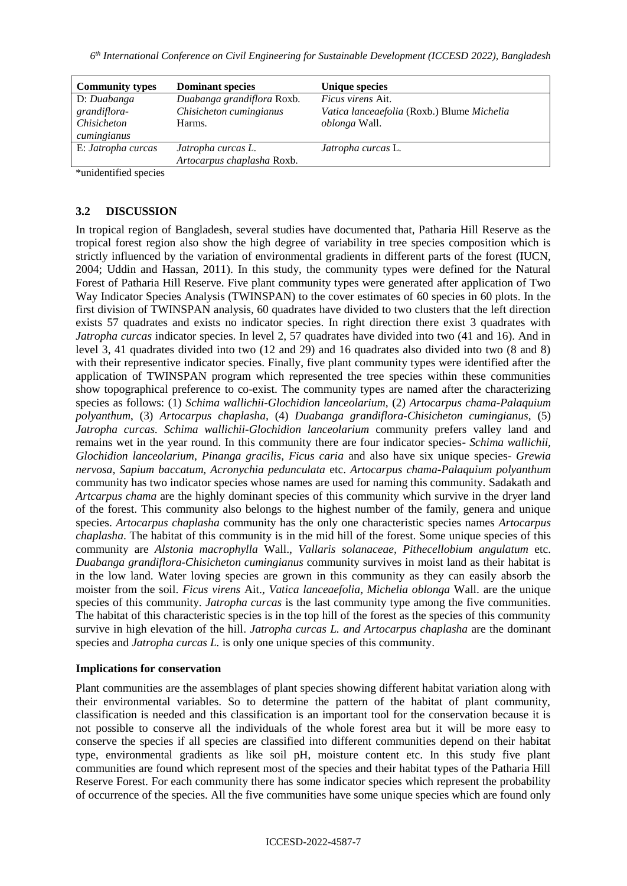| <b>Community types</b> | <b>Dominant species</b>    | <b>Unique species</b>                      |
|------------------------|----------------------------|--------------------------------------------|
| D: Duabanga            | Duabanga grandiflora Roxb. | <i>Ficus virens Ait.</i>                   |
| grandiflora-           | Chisicheton cumingianus    | Vatica lanceaefolia (Roxb.) Blume Michelia |
| Chisicheton            | Harms.                     | oblonga Wall.                              |
| cumingianus            |                            |                                            |
| E: Jatropha curcas     | Jatropha curcas L.         | Jatropha curcas L.                         |
|                        | Artocarpus chaplasha Roxb. |                                            |

\*unidentified species

# **3.2 DISCUSSION**

In tropical region of Bangladesh, several studies have documented that, Patharia Hill Reserve as the tropical forest region also show the high degree of variability in tree species composition which is strictly influenced by the variation of environmental gradients in different parts of the forest (IUCN, 2004; Uddin and Hassan, 2011). In this study, the community types were defined for the Natural Forest of Patharia Hill Reserve. Five plant community types were generated after application of Two Way Indicator Species Analysis (TWINSPAN) to the cover estimates of 60 species in 60 plots. In the first division of TWINSPAN analysis, 60 quadrates have divided to two clusters that the left direction exists 57 quadrates and exists no indicator species. In right direction there exist 3 quadrates with *Jatropha curcas* indicator species. In level 2, 57 quadrates have divided into two (41 and 16). And in level 3, 41 quadrates divided into two (12 and 29) and 16 quadrates also divided into two (8 and 8) with their representive indicator species. Finally, five plant community types were identified after the application of TWINSPAN program which represented the tree species within these communities show topographical preference to co-exist. The community types are named after the characterizing species as follows: (1) *Schima wallichii-Glochidion lanceolarium,* (2) *Artocarpus chama-Palaquium polyanthum*, (3) *Artocarpus chaplasha,* (4) *Duabanga grandiflora-Chisicheton cumingianus,* (5) *Jatropha curcas. Schima wallichii-Glochidion lanceolarium* community prefers valley land and remains wet in the year round. In this community there are four indicator species- *Schima wallichii, Glochidion lanceolarium, Pinanga gracilis, Ficus caria* and also have six unique species- *Grewia nervosa, Sapium baccatum, Acronychia pedunculata* etc. *Artocarpus chama-Palaquium polyanthum* community has two indicator species whose names are used for naming this community. Sadakath and *Artcarpus chama* are the highly dominant species of this community which survive in the dryer land of the forest. This community also belongs to the highest number of the family, genera and unique species. *Artocarpus chaplasha* community has the only one characteristic species names *Artocarpus chaplasha*. The habitat of this community is in the mid hill of the forest. Some unique species of this community are *Alstonia macrophylla* Wall., *Vallaris solanaceae, Pithecellobium angulatum* etc. *Duabanga grandiflora-Chisicheton cumingianus* community survives in moist land as their habitat is in the low land. Water loving species are grown in this community as they can easily absorb the moister from the soil. *Ficus virens* Ait.*, Vatica lanceaefolia, Michelia oblonga* Wall. are the unique species of this community. *Jatropha curcas* is the last community type among the five communities. The habitat of this characteristic species is in the top hill of the forest as the species of this community survive in high elevation of the hill. *Jatropha curcas L. and Artocarpus chaplasha* are the dominant species and *Jatropha curcas L*. is only one unique species of this community.

## **Implications for conservation**

Plant communities are the assemblages of plant species showing different habitat variation along with their environmental variables. So to determine the pattern of the habitat of plant community, classification is needed and this classification is an important tool for the conservation because it is not possible to conserve all the individuals of the whole forest area but it will be more easy to conserve the species if all species are classified into different communities depend on their habitat type, environmental gradients as like soil pH, moisture content etc. In this study five plant communities are found which represent most of the species and their habitat types of the Patharia Hill Reserve Forest. For each community there has some indicator species which represent the probability of occurrence of the species. All the five communities have some unique species which are found only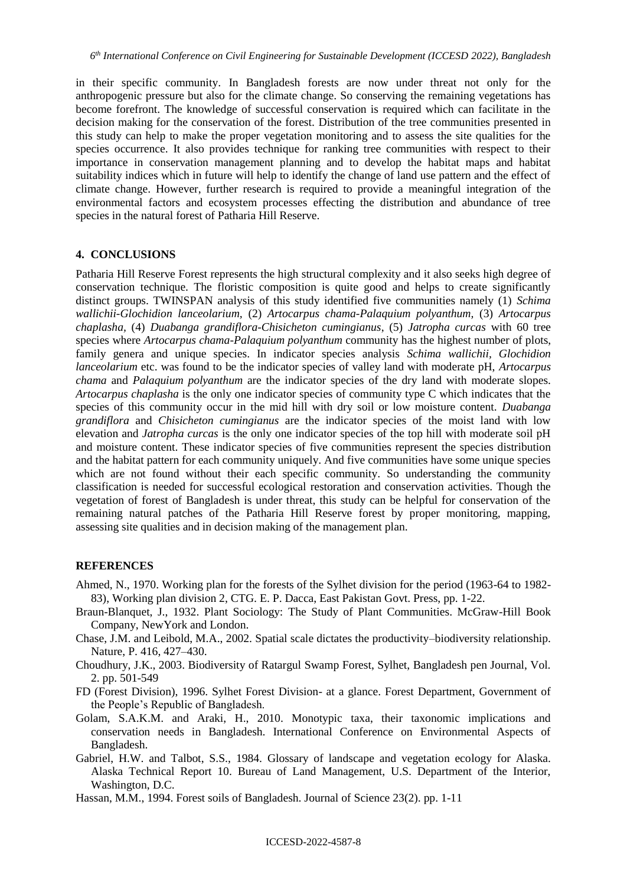in their specific community. In Bangladesh forests are now under threat not only for the anthropogenic pressure but also for the climate change. So conserving the remaining vegetations has become forefront. The knowledge of successful conservation is required which can facilitate in the decision making for the conservation of the forest. Distribution of the tree communities presented in this study can help to make the proper vegetation monitoring and to assess the site qualities for the species occurrence. It also provides technique for ranking tree communities with respect to their importance in conservation management planning and to develop the habitat maps and habitat suitability indices which in future will help to identify the change of land use pattern and the effect of climate change. However, further research is required to provide a meaningful integration of the environmental factors and ecosystem processes effecting the distribution and abundance of tree species in the natural forest of Patharia Hill Reserve.

#### **4. CONCLUSIONS**

Patharia Hill Reserve Forest represents the high structural complexity and it also seeks high degree of conservation technique. The floristic composition is quite good and helps to create significantly distinct groups. TWINSPAN analysis of this study identified five communities namely (1) *Schima wallichii-Glochidion lanceolarium,* (2) *Artocarpus chama-Palaquium polyanthum,* (3) *Artocarpus chaplasha,* (4) *Duabanga grandiflora-Chisicheton cumingianus*, (5) *Jatropha curcas* with 60 tree species where *Artocarpus chama-Palaquium polyanthum* community has the highest number of plots, family genera and unique species. In indicator species analysis *Schima wallichii, Glochidion lanceolarium* etc. was found to be the indicator species of valley land with moderate pH, *Artocarpus chama* and *Palaquium polyanthum* are the indicator species of the dry land with moderate slopes. *Artocarpus chaplasha* is the only one indicator species of community type C which indicates that the species of this community occur in the mid hill with dry soil or low moisture content. *Duabanga grandiflora* and *Chisicheton cumingianus* are the indicator species of the moist land with low elevation and *Jatropha curcas* is the only one indicator species of the top hill with moderate soil pH and moisture content. These indicator species of five communities represent the species distribution and the habitat pattern for each community uniquely. And five communities have some unique species which are not found without their each specific community. So understanding the community classification is needed for successful ecological restoration and conservation activities. Though the vegetation of forest of Bangladesh is under threat, this study can be helpful for conservation of the remaining natural patches of the Patharia Hill Reserve forest by proper monitoring, mapping, assessing site qualities and in decision making of the management plan.

#### **REFERENCES**

- Ahmed, N., 1970. Working plan for the forests of the Sylhet division for the period (1963-64 to 1982- 83), Working plan division 2, CTG. E. P. Dacca, East Pakistan Govt. Press, pp. 1-22.
- Braun-Blanquet, J., 1932. Plant Sociology: The Study of Plant Communities. McGraw-Hill Book Company, NewYork and London.
- Chase, J.M. and Leibold, M.A., 2002. Spatial scale dictates the productivity–biodiversity relationship. Nature, P. 416, 427–430.
- Choudhury, J.K., 2003. Biodiversity of Ratargul Swamp Forest, Sylhet, Bangladesh pen Journal, Vol. 2. pp. 501-549
- FD (Forest Division), 1996. Sylhet Forest Division- at a glance. Forest Department, Government of the People's Republic of Bangladesh.
- Golam, S.A.K.M. and Araki, H., 2010. Monotypic taxa, their taxonomic implications and conservation needs in Bangladesh. International Conference on Environmental Aspects of Bangladesh.
- Gabriel, H.W. and Talbot, S.S., 1984. Glossary of landscape and vegetation ecology for Alaska. Alaska Technical Report 10. Bureau of Land Management, U.S. Department of the Interior, Washington, D.C.
- Hassan, M.M., 1994. Forest soils of Bangladesh. Journal of Science 23(2). pp. 1-11